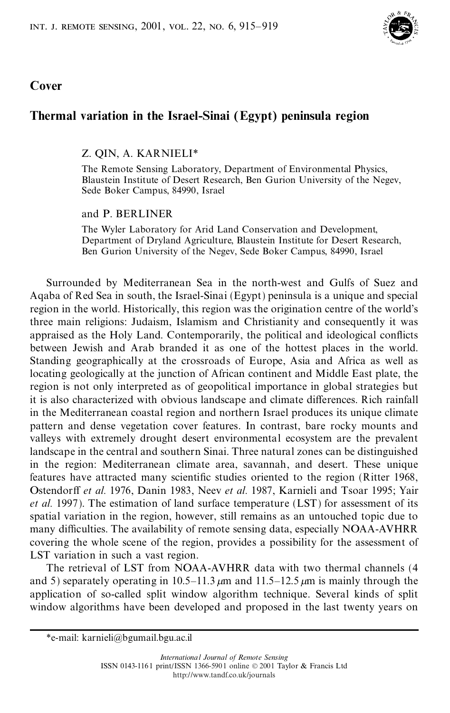

## **Cover**

# **Thermal variation in the Israel-Sinai (Egypt) peninsula region**

## Z. QIN, A. KARNIELI\*

The Remote Sensing Laboratory, Department of Environmental Physics, Blaustein Institute of Desert Research, Ben Gurion University of the Negev, Sede Boker Campus, 84990, Israel

### and P. BERLINER

The Wyler Laboratory for Arid Land Conservation and Development, Department of Dryland Agriculture, Blaustein Institute for Desert Research, Ben Gurion University of the Negev, Sede Boker Campus, 84990, Israel

Surrounded by Mediterranean Sea in the north-west and Gulfs of Suez and Aqaba of Red Sea in south, the Israel-Sinai (Egypt) peninsula is a unique and special region in the world. Historically, this region was the origination centre of the world's three main religions: Judaism, Islamism and Christianity and consequently it was appraised as the Holy Land. Contemporarily, the political and ideological conflicts between Jewish and Arab branded it as one of the hottest places in the world. Standing geographically at the crossroads of Europe, Asia and Africa as well as locating geologically at the junction of African continent and Middle East plate, the region is not only interpreted as of geopolitical importance in global strategies but it is also characterized with obvious landscape and climate differences. Rich rainfall in the Mediterranean coastal region and northern Israel produces its unique climate pattern and dense vegetation cover features. In contrast, bare rocky mounts and valleys with extremely drought desert environmental ecosystem are the prevalent landscape in the central and southern Sinai. Three natural zones can be distinguished in the region: Mediterranean climate area, savannah, and desert. These unique features have attracted many scientific studies oriented to the region (Ritter 1968, Ostendorff *et al.* 1976, Danin 1983, Neev *et al.* 1987, Karnieli and Tsoar 1995; Yair *et al.* 1997). The estimation of land surface temperature (LST) for assessment of its spatial variation in the region, however, still remains as an untouched topic due to many difficulties. The availability of remote sensing data, especially NOAA-AVHRR covering the whole scene of the region, provides a possibility for the assessment of LST variation in such a vast region.

The retrieval of LST from NOAA-AVHRR data with two thermal channels (4 and 5) separately operating in  $10.5-11.3 \mu m$  and  $11.5-12.5 \mu m$  is mainly through the application of so-called split window algorithm technique. Several kinds of split window algorithms have been developed and proposed in the last twenty years on

<sup>\*</sup>e-mail: karnieli@bgumail.bgu.ac.il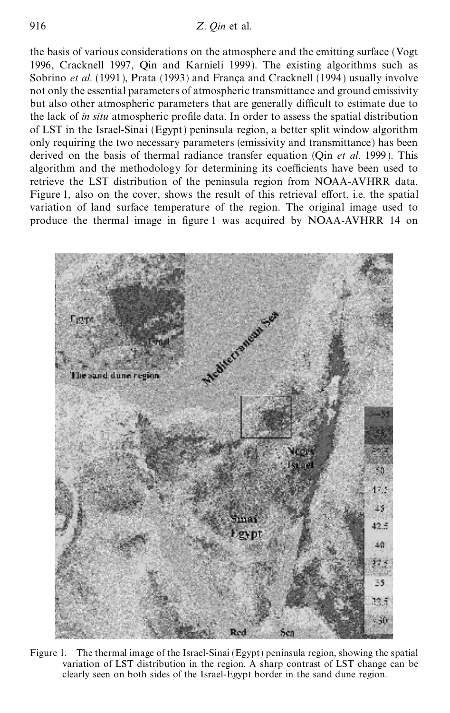the basis of various considerations on the atmosphere and the emitting surface (Vogt 1996, Cracknell 1997, Qin and Karnieli 1999). The existing algorithms such as Sobrino *et al.* (1991), Prata (1993) and Franca and Cracknell (1994) usually involve not only the essential parameters of atmospheric transmittance and ground emissivity but also other atmospheric parameters that are generally difficult to estimate due to the lack of *in situ* atmospheric profile data. In order to assess the spatial distribution of LST in the Israel-Sinai (Egypt) peninsula region, a better split window algorithm only requiring the two necessary parameters (emissivity and transmittance) has been derived on the basis of thermal radiance transfer equation (Qin *et al.* 1999). This algorithm and the methodology for determining its coefficients have been used to retrieve the LST distribution of the peninsula region from NOAA-AVHRR data. Figure 1, also on the cover, shows the result of this retrieval effort, i.e. the spatial variation of land surface temperature of the region. The original image used to produce the thermal image in figure 1 was acquired by NOAA-AVHRR 14 on



Figure 1. The thermal image of the Israel-Sinai (Egypt) peninsula region, showing the spatial variation of LST distribution in the region. A sharp contrast of LST change can be clearly seen on both sides of the Israel-Egypt border in the sand dune region.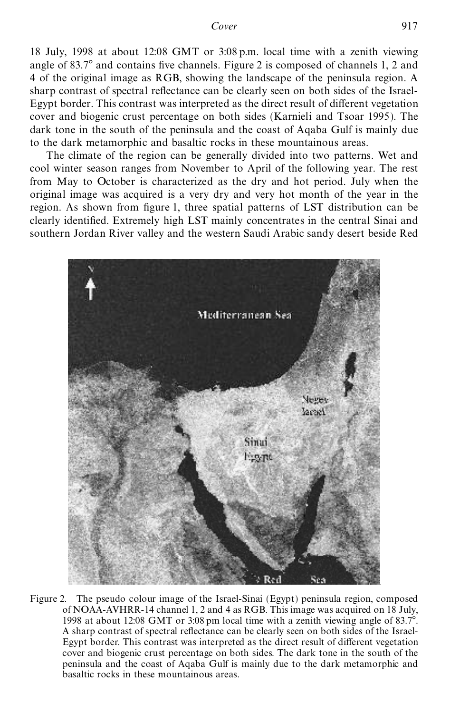18 July, 1998 at about 12:08 GMT or 3:08 p.m. local time with a zenith viewing angle of  $83.7^\circ$  and contains five channels. Figure 2 is composed of channels 1, 2 and 4 of the original image as RGB, showing the landscape of the peninsula region. A sharp contrast of spectral reflectance can be clearly seen on both sides of the Israel-Egypt border. This contrast was interpreted as the direct result of different vegetation cover and biogenic crust percentage on both sides (Karnieli and Tsoar 1995). The dark tone in the south of the peninsula and the coast of Aqaba Gulf is mainly due to the dark metamorphic and basaltic rocks in these mountainous areas.

The climate of the region can be generally divided into two patterns. Wet and cool winter season ranges from November to April of the following year. The rest from May to October is characterized as the dry and hot period. July when the original image was acquired is a very dry and very hot month of the year in the region. As shown from figure 1, three spatial patterns of LST distribution can be clearly identified. Extremely high LST mainly concentrates in the central Sinai and southern Jordan River valley and the western Saudi Arabic sandy desert beside Red



Figure 2. The pseudo colour image of the Israel-Sinai (Egypt) peninsula region, composed of NOAA-AVHRR-14 channel 1, 2 and 4 as RGB. This image was acquired on 18 July, 1998 at about 12:08 GMT or 3:08 pm local time with a zenith viewing angle of  $83.7^\circ$ . A sharp contrast of spectral reflectance can be clearly seen on both sides of the Israel-Egypt border. This contrast was interpreted as the direct result of different vegetation cover and biogenic crust percentage on both sides. The dark tone in the south of the peninsula and the coast of Aqaba Gulf is mainly due to the dark metamorphic and basaltic rocks in these mountainous areas.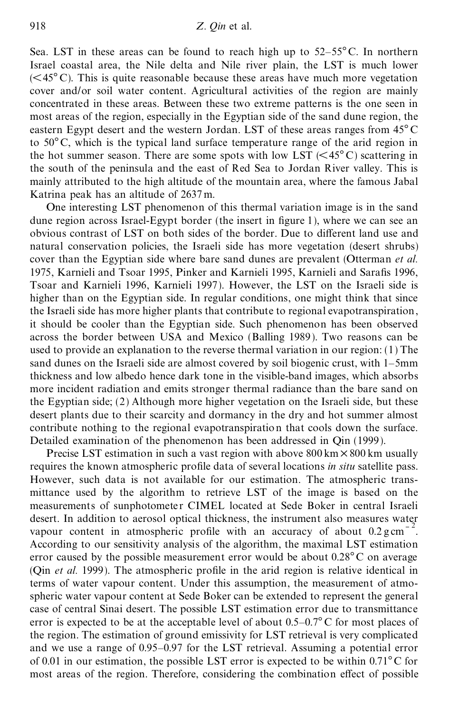Sea. LST in these areas can be found to reach high up to  $52-55^{\circ}$ C. In northern Israel coastal area, the Nile delta and Nile river plain, the LST is much lower  $(**45° C**)$ . This is quite reasonable because these areas have much more vegetation cover and/or soil water content. Agricultural activities of the region are mainly concentrated in these areas. Between these two extreme patterns is the one seen in most areas of the region, especially in the Egyptian side of the sand dune region, the eastern Egypt desert and the western Jordan. LST of these areas ranges from  $45^{\circ}$ C to  $50^{\circ}$ C, which is the typical land surface temperature range of the arid region in the hot summer season. There are some spots with low LST  $(<45^{\circ}$ C) scattering in the south of the peninsula and the east of Red Sea to Jordan River valley. This is mainly attributed to the high altitude of the mountain area, where the famous Jabal Katrina peak has an altitude of 2637 m.

One interesting LST phenomenon of this thermal variation image is in the sand dune region across Israel-Egypt border (the insert in figure 1), where we can see an obvious contrast of LST on both sides of the border. Due to different land use and natural conservation policies, the Israeli side has more vegetation (desert shrubs) cover than the Egyptian side where bare sand dunes are prevalent (Otterman *et al.* 1975, Karnieli and Tsoar 1995, Pinker and Karnieli 1995, Karnieli and Sarafis 1996, Tsoar and Karnieli 1996, Karnieli 1997). However, the LST on the Israeli side is higher than on the Egyptian side. In regular conditions, one might think that since the Israeli side has more higher plants that contribute to regional evapotranspiration, it should be cooler than the Egyptian side. Such phenomenon has been observed across the border between USA and Mexico (Balling 1989). Two reasons can be used to provide an explanation to the reverse thermal variation in our region: (1) The sand dunes on the Israeli side are almost covered by soil biogenic crust, with  $1-5$ mm thickness and low albedo hence dark tone in the visible-band images, which absorbs more incident radiation and emits stronger thermal radiance than the bare sand on the Egyptian side; (2) Although more higher vegetation on the Israeli side, but these desert plants due to their scarcity and dormancy in the dry and hot summer almost contribute nothing to the regional evapotranspiration that cools down the surface. Detailed examination of the phenomenon has been addressed in Qin (1999).

Precise LST estimation in such a vast region with above  $800 \text{ km} \times 800 \text{ km}$  usually requires the known atmospheric profile data of several locations *in situ* satellite pass. However, such data is not available for our estimation. The atmospheric transmittance used by the algorithm to retrieve LST of the image is based on the measurements of sunphotometer CIMEL located at Sede Boker in central Israeli desert. In addition to aerosol optical thickness, the instrument also measures water vapour content in atmospheric profile with an accuracy of about  $0.2 \text{ g cm}^{-1}$ 2 . According to our sensitivity analysis of the algorithm, the maximal LST estimation error caused by the possible measurement error would be about  $0.28^{\circ}$ C on average (Qin *et al.* 1999). The atmospheric profile in the arid region is relative identical in terms of water vapour content. Under this assumption, the measurement of atmospheric water vapour content at Sede Boker can be extended to represent the general case of central Sinai desert. The possible LST estimation error due to transmittance error is expected to be at the acceptable level of about  $0.5-0.7^{\circ}$  C for most places of the region. The estimation of ground emissivity for LST retrieval is very complicated and we use a range of  $0.95-0.97$  for the LST retrieval. Assuming a potential error of 0.01 in our estimation, the possible LST error is expected to be within  $0.71^{\circ}$ C for most areas of the region. Therefore, considering the combination effect of possible